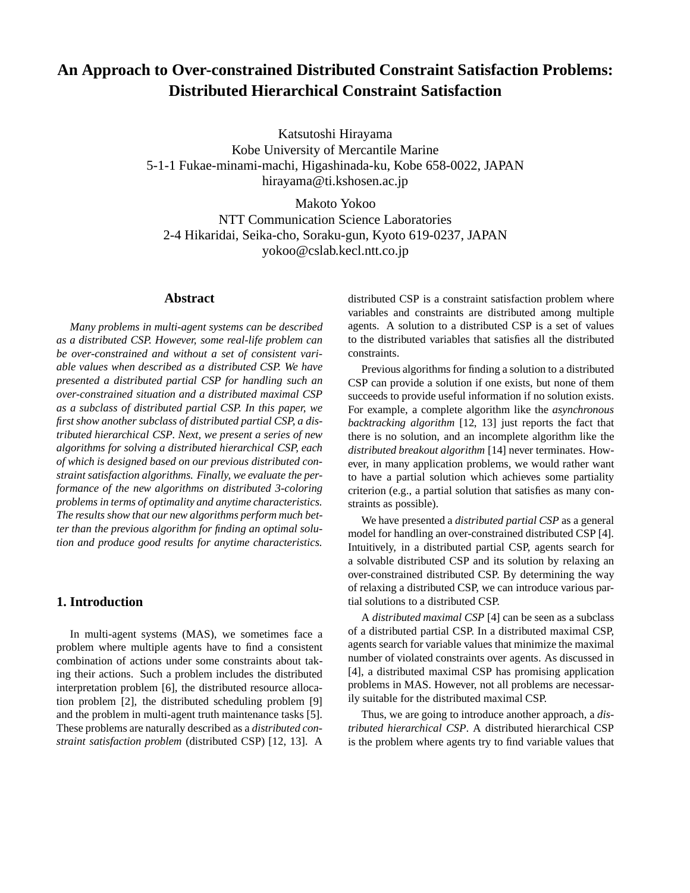# **An Approach to Over-constrained Distributed Constraint Satisfaction Problems: Distributed Hierarchical Constraint Satisfaction**

Katsutoshi Hirayama Kobe University of Mercantile Marine 5-1-1 Fukae-minami-machi, Higashinada-ku, Kobe 658-0022, JAPAN hirayama@ti.kshosen.ac.jp

Makoto Yokoo NTT Communication Science Laboratories 2-4 Hikaridai, Seika-cho, Soraku-gun, Kyoto 619-0237, JAPAN yokoo@cslab.kecl.ntt.co.jp

## **Abstract**

*Many problems in multi-agent systems can be described as a distributed CSP. However, some real-life problem can be over-constrained and without a set of consistent variable values when described as a distributed CSP. We have presented a distributed partial CSP for handling such an over-constrained situation and a distributed maximal CSP as a subclass of distributed partial CSP. In this paper, we first show another subclass of distributed partial CSP, a distributed hierarchical CSP. Next, we present a series of new algorithms for solving a distributed hierarchical CSP, each of which is designed based on our previous distributed constraint satisfaction algorithms. Finally, we evaluate the performance of the new algorithms on distributed 3-coloring problems in terms of optimality and anytime characteristics. The results show that our new algorithms perform much better than the previous algorithm for finding an optimal solution and produce good results for anytime characteristics.*

# **1. Introduction**

In multi-agent systems (MAS), we sometimes face a problem where multiple agents have to find a consistent combination of actions under some constraints about taking their actions. Such a problem includes the distributed interpretation problem [6], the distributed resource allocation problem [2], the distributed scheduling problem [9] and the problem in multi-agent truth maintenance tasks [5]. These problems are naturally described as a *distributed constraint satisfaction problem* (distributed CSP) [12, 13]. A

distributed CSP is a constraint satisfaction problem where variables and constraints are distributed among multiple agents. A solution to a distributed CSP is a set of values to the distributed variables that satisfies all the distributed constraints.

Previous algorithms for finding a solution to a distributed CSP can provide a solution if one exists, but none of them succeeds to provide useful information if no solution exists. For example, a complete algorithm like the *asynchronous backtracking algorithm* [12, 13] just reports the fact that there is no solution, and an incomplete algorithm like the *distributed breakout algorithm* [14] never terminates. However, in many application problems, we would rather want to have a partial solution which achieves some partiality criterion (e.g., a partial solution that satisfies as many constraints as possible).

We have presented a *distributed partial CSP* as a general model for handling an over-constrained distributed CSP [4]. Intuitively, in a distributed partial CSP, agents search for a solvable distributed CSP and its solution by relaxing an over-constrained distributed CSP. By determining the way of relaxing a distributed CSP, we can introduce various partial solutions to a distributed CSP.

A *distributed maximal CSP* [4] can be seen as a subclass of a distributed partial CSP. In a distributed maximal CSP, agents search for variable values that minimize the maximal number of violated constraints over agents. As discussed in [4], a distributed maximal CSP has promising application problems in MAS. However, not all problems are necessarily suitable for the distributed maximal CSP.

Thus, we are going to introduce another approach, a *distributed hierarchical CSP*. A distributed hierarchical CSP is the problem where agents try to find variable values that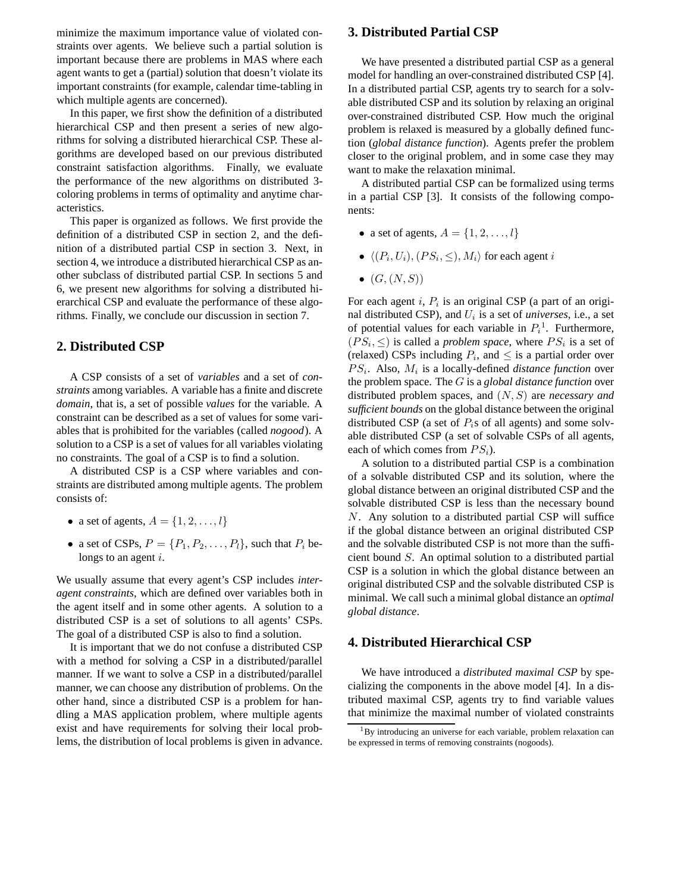minimize the maximum importance value of violated constraints over agents. We believe such a partial solution is important because there are problems in MAS where each agent wants to get a (partial) solution that doesn't violate its important constraints (for example, calendar time-tabling in which multiple agents are concerned).

In this paper, we first show the definition of a distributed hierarchical CSP and then present a series of new algorithms for solving a distributed hierarchical CSP. These algorithms are developed based on our previous distributed constraint satisfaction algorithms. Finally, we evaluate the performance of the new algorithms on distributed 3 coloring problems in terms of optimality and anytime characteristics.

This paper is organized as follows. We first provide the definition of a distributed CSP in section 2, and the definition of a distributed partial CSP in section 3. Next, in section 4, we introduce a distributed hierarchical CSP as another subclass of distributed partial CSP. In sections 5 and 6, we present new algorithms for solving a distributed hierarchical CSP and evaluate the performance of these algorithms. Finally, we conclude our discussion in section 7.

# **2. Distributed CSP**

A CSP consists of a set of *variables* and a set of *constraints* among variables. A variable has a finite and discrete *domain*, that is, a set of possible *values* for the variable. A constraint can be described as a set of values for some variables that is prohibited for the variables (called *nogood*). A solution to a CSP is a set of values for all variables violating no constraints. The goal of a CSP is to find a solution.

A distributed CSP is a CSP where variables and constraints are distributed among multiple agents. The problem consists of:

- a set of agents,  $A = \{1, 2, \ldots, l\}$
- a set of CSPs,  $P = \{P_1, P_2, \ldots, P_l\}$ , such that  $P_i$  belongs to an agent *i*.

We usually assume that every agent's CSP includes *interagent constraints*, which are defined over variables both in the agent itself and in some other agents. A solution to a distributed CSP is a set of solutions to all agents' CSPs. The goal of a distributed CSP is also to find a solution.

It is important that we do not confuse a distributed CSP with a method for solving a CSP in a distributed/parallel manner. If we want to solve a CSP in a distributed/parallel manner, we can choose any distribution of problems. On the other hand, since a distributed CSP is a problem for handling a MAS application problem, where multiple agents exist and have requirements for solving their local problems, the distribution of local problems is given in advance.

#### **3. Distributed Partial CSP**

We have presented a distributed partial CSP as a general model for handling an over-constrained distributed CSP [4]. In a distributed partial CSP, agents try to search for a solvable distributed CSP and its solution by relaxing an original over-constrained distributed CSP. How much the original problem is relaxed is measured by a globally defined function (*global distance function*). Agents prefer the problem closer to the original problem, and in some case they may want to make the relaxation minimal.

A distributed partial CSP can be formalized using terms in a partial CSP [3]. It consists of the following components:

- a set of agents,  $A = \{1, 2, \ldots, l\}$
- $\langle (P_i, U_i), (PS_i, \leq), M_i \rangle$  for each agent i
- $(G, (N, S))$

For each agent i,  $P_i$  is an original CSP (a part of an original distributed CSP), and  $U_i$  is a set of *universes*, i.e., a set of potential values for each variable in  $P_i^1$ . Furthermore,  $(PS_i, \leq)$  is called a *problem space*, where  $PS_i$  is a set of (relaxed) CSPs including  $P_i$ , and  $\leq$  is a partial order over  $PS_i$ . Also,  $M_i$  is a locally-defined *distance function* over the problem space. The G is a *global distance function* over distributed problem spaces, and (N,S) are *necessary and sufficient bounds* on the global distance between the original distributed CSP (a set of  $P_i$ s of all agents) and some solvable distributed CSP (a set of solvable CSPs of all agents, each of which comes from  $PS_i$ ).

A solution to a distributed partial CSP is a combination of a solvable distributed CSP and its solution, where the global distance between an original distributed CSP and the solvable distributed CSP is less than the necessary bound N. Any solution to a distributed partial CSP will suffice if the global distance between an original distributed CSP and the solvable distributed CSP is not more than the sufficient bound S. An optimal solution to a distributed partial CSP is a solution in which the global distance between an original distributed CSP and the solvable distributed CSP is minimal. We call such a minimal global distance an *optimal global distance*.

#### **4. Distributed Hierarchical CSP**

We have introduced a *distributed maximal CSP* by specializing the components in the above model [4]. In a distributed maximal CSP, agents try to find variable values that minimize the maximal number of violated constraints

 $1$ By introducing an universe for each variable, problem relaxation can be expressed in terms of removing constraints (nogoods).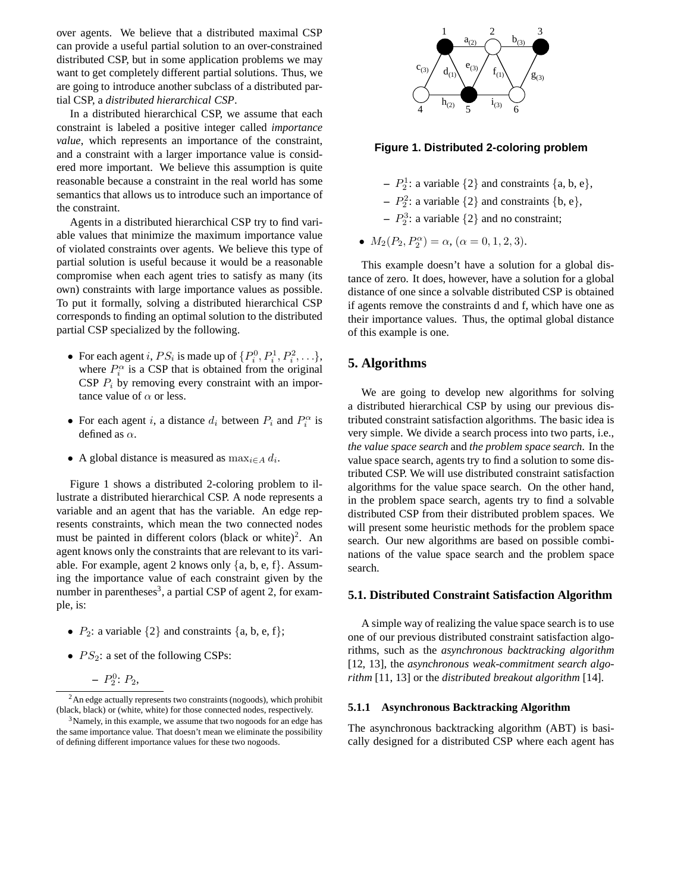over agents. We believe that a distributed maximal CSP can provide a useful partial solution to an over-constrained distributed CSP, but in some application problems we may want to get completely different partial solutions. Thus, we are going to introduce another subclass of a distributed partial CSP, a *distributed hierarchical CSP*.

In a distributed hierarchical CSP, we assume that each constraint is labeled a positive integer called *importance value*, which represents an importance of the constraint, and a constraint with a larger importance value is considered more important. We believe this assumption is quite reasonable because a constraint in the real world has some semantics that allows us to introduce such an importance of the constraint.

Agents in a distributed hierarchical CSP try to find variable values that minimize the maximum importance value of violated constraints over agents. We believe this type of partial solution is useful because it would be a reasonable compromise when each agent tries to satisfy as many (its own) constraints with large importance values as possible. To put it formally, solving a distributed hierarchical CSP corresponds to finding an optimal solution to the distributed partial CSP specialized by the following.

- For each agent i,  $PS_i$  is made up of  $\{P_i^0, P_i^1, P_i^2, \ldots\}$ , where  $P_i^{\alpha}$  is a CSP that is obtained from the original CSP  $P_i$  by removing every constraint with an importance value of  $\alpha$  or less.
- For each agent i, a distance  $d_i$  between  $P_i$  and  $P_i^{\alpha}$  is defined as  $\alpha$ .
- A global distance is measured as  $\max_{i \in A} d_i$ .

Figure 1 shows a distributed 2-coloring problem to illustrate a distributed hierarchical CSP. A node represents a variable and an agent that has the variable. An edge represents constraints, which mean the two connected nodes must be painted in different colors (black or white)<sup>2</sup>. An agent knows only the constraints that are relevant to its variable. For example, agent 2 knows only  $\{a, b, e, f\}$ . Assuming the importance value of each constraint given by the number in parentheses<sup>3</sup>, a partial CSP of agent 2, for example, is:

- $P_2$ : a variable  $\{2\}$  and constraints  $\{a, b, e, f\}$ ;
- $PS_2$ : a set of the following CSPs:

$$
- P_2^0
$$
:  $P_2$ ,



**Figure 1. Distributed 2-coloring problem**

- $P_2^1$ : a variable  $\{2\}$  and constraints  $\{a, b, e\},\$
- $P_2^2$ : a variable  $\{2\}$  and constraints  $\{b, e\},$
- $P_2^3$ : a variable  $\{2\}$  and no constraint;
- $M_2(P_2, P_2^{\alpha}) = \alpha$ ,  $(\alpha = 0, 1, 2, 3)$ .

This example doesn't have a solution for a global distance of zero. It does, however, have a solution for a global distance of one since a solvable distributed CSP is obtained if agents remove the constraints d and f, which have one as their importance values. Thus, the optimal global distance of this example is one.

## **5. Algorithms**

We are going to develop new algorithms for solving a distributed hierarchical CSP by using our previous distributed constraint satisfaction algorithms. The basic idea is very simple. We divide a search process into two parts, i.e., *the value space search* and *the problem space search*. In the value space search, agents try to find a solution to some distributed CSP. We will use distributed constraint satisfaction algorithms for the value space search. On the other hand, in the problem space search, agents try to find a solvable distributed CSP from their distributed problem spaces. We will present some heuristic methods for the problem space search. Our new algorithms are based on possible combinations of the value space search and the problem space search.

## **5.1. Distributed Constraint Satisfaction Algorithm**

A simple way of realizing the value space search is to use one of our previous distributed constraint satisfaction algorithms, such as the *asynchronous backtracking algorithm* [12, 13], the *asynchronous weak-commitment search algorithm* [11, 13] or the *distributed breakout algorithm* [14].

#### **5.1.1 Asynchronous Backtracking Algorithm**

The asynchronous backtracking algorithm (ABT) is basically designed for a distributed CSP where each agent has

 $2<sup>2</sup>$ An edge actually represents two constraints (nogoods), which prohibit (black, black) or (white, white) for those connected nodes, respectively.

<sup>&</sup>lt;sup>3</sup>Namely, in this example, we assume that two nogoods for an edge has the same importance value. That doesn't mean we eliminate the possibility of defining different importance values for these two nogoods.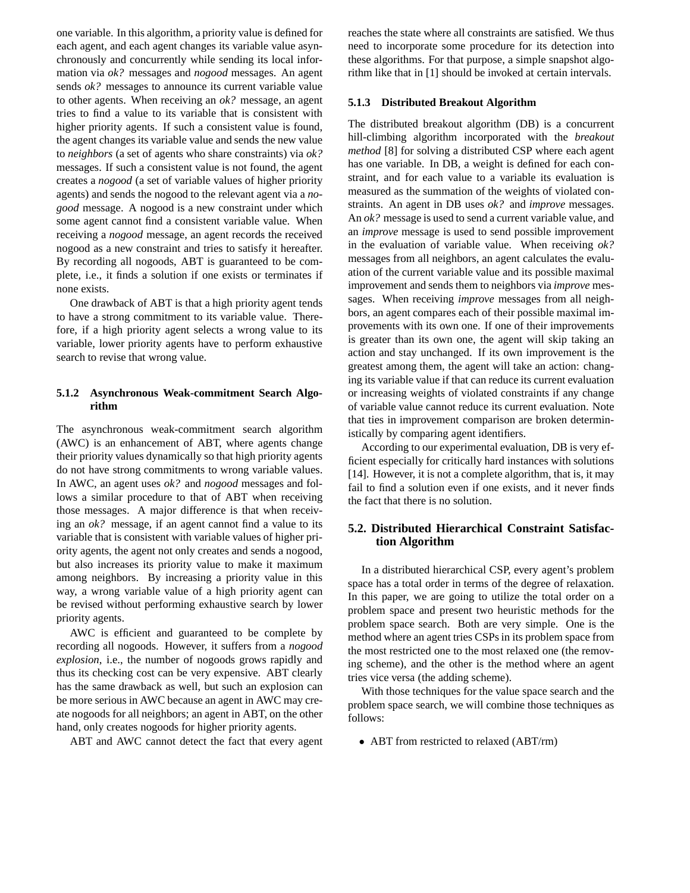one variable. In this algorithm, a priority value is defined for each agent, and each agent changes its variable value asynchronously and concurrently while sending its local information via *ok?* messages and *nogood* messages. An agent sends *ok?* messages to announce its current variable value to other agents. When receiving an *ok?* message, an agent tries to find a value to its variable that is consistent with higher priority agents. If such a consistent value is found, the agent changes its variable value and sends the new value to *neighbors* (a set of agents who share constraints) via *ok?* messages. If such a consistent value is not found, the agent creates a *nogood* (a set of variable values of higher priority agents) and sends the nogood to the relevant agent via a *nogood* message. A nogood is a new constraint under which some agent cannot find a consistent variable value. When receiving a *nogood* message, an agent records the received nogood as a new constraint and tries to satisfy it hereafter. By recording all nogoods, ABT is guaranteed to be complete, i.e., it finds a solution if one exists or terminates if none exists.

One drawback of ABT is that a high priority agent tends to have a strong commitment to its variable value. Therefore, if a high priority agent selects a wrong value to its variable, lower priority agents have to perform exhaustive search to revise that wrong value.

## **5.1.2 Asynchronous Weak-commitment Search Algorithm**

The asynchronous weak-commitment search algorithm (AWC) is an enhancement of ABT, where agents change their priority values dynamically so that high priority agents do not have strong commitments to wrong variable values. In AWC, an agent uses *ok?* and *nogood* messages and follows a similar procedure to that of ABT when receiving those messages. A major difference is that when receiving an *ok?* message, if an agent cannot find a value to its variable that is consistent with variable values of higher priority agents, the agent not only creates and sends a nogood, but also increases its priority value to make it maximum among neighbors. By increasing a priority value in this way, a wrong variable value of a high priority agent can be revised without performing exhaustive search by lower priority agents.

AWC is efficient and guaranteed to be complete by recording all nogoods. However, it suffers from a *nogood explosion*, i.e., the number of nogoods grows rapidly and thus its checking cost can be very expensive. ABT clearly has the same drawback as well, but such an explosion can be more serious in AWC because an agent in AWC may create nogoods for all neighbors; an agent in ABT, on the other hand, only creates nogoods for higher priority agents.

ABT and AWC cannot detect the fact that every agent

reaches the state where all constraints are satisfied. We thus need to incorporate some procedure for its detection into these algorithms. For that purpose, a simple snapshot algorithm like that in [1] should be invoked at certain intervals.

#### **5.1.3 Distributed Breakout Algorithm**

The distributed breakout algorithm (DB) is a concurrent hill-climbing algorithm incorporated with the *breakout method* [8] for solving a distributed CSP where each agent has one variable. In DB, a weight is defined for each constraint, and for each value to a variable its evaluation is measured as the summation of the weights of violated constraints. An agent in DB uses *ok?* and *improve* messages. An *ok?* message is used to send a current variable value, and an *improve* message is used to send possible improvement in the evaluation of variable value. When receiving *ok?* messages from all neighbors, an agent calculates the evaluation of the current variable value and its possible maximal improvement and sends them to neighbors via *improve* messages. When receiving *improve* messages from all neighbors, an agent compares each of their possible maximal improvements with its own one. If one of their improvements is greater than its own one, the agent will skip taking an action and stay unchanged. If its own improvement is the greatest among them, the agent will take an action: changing its variable value if that can reduce its current evaluation or increasing weights of violated constraints if any change of variable value cannot reduce its current evaluation. Note that ties in improvement comparison are broken deterministically by comparing agent identifiers.

According to our experimental evaluation, DB is very efficient especially for critically hard instances with solutions [14]. However, it is not a complete algorithm, that is, it may fail to find a solution even if one exists, and it never finds the fact that there is no solution.

## **5.2. Distributed Hierarchical Constraint Satisfaction Algorithm**

In a distributed hierarchical CSP, every agent's problem space has a total order in terms of the degree of relaxation. In this paper, we are going to utilize the total order on a problem space and present two heuristic methods for the problem space search. Both are very simple. One is the method where an agent tries CSPs in its problem space from the most restricted one to the most relaxed one (the removing scheme), and the other is the method where an agent tries vice versa (the adding scheme).

With those techniques for the value space search and the problem space search, we will combine those techniques as follows:

• ABT from restricted to relaxed (ABT/rm)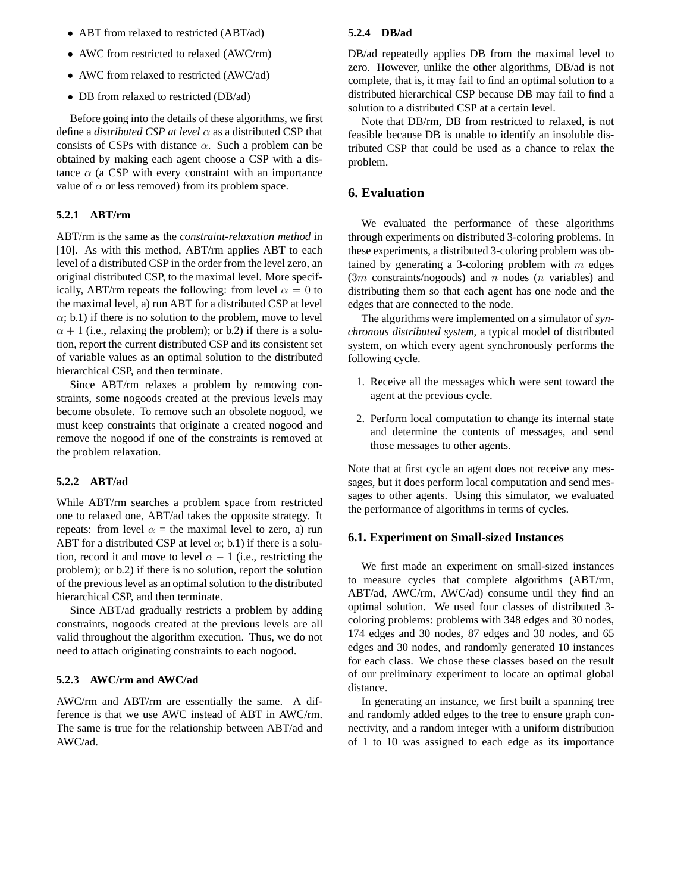- ABT from relaxed to restricted (ABT/ad)
- AWC from restricted to relaxed (AWC/rm)
- AWC from relaxed to restricted (AWC/ad)
- DB from relaxed to restricted (DB/ad)

Before going into the details of these algorithms, we first define a *distributed CSP at level*  $\alpha$  as a distributed CSP that consists of CSPs with distance  $\alpha$ . Such a problem can be obtained by making each agent choose a CSP with a distance  $\alpha$  (a CSP with every constraint with an importance value of  $\alpha$  or less removed) from its problem space.

## **5.2.1 ABT/rm**

ABT/rm is the same as the *constraint-relaxation method* in [10]. As with this method, ABT/rm applies ABT to each level of a distributed CSP in the order from the level zero, an original distributed CSP, to the maximal level. More specifically, ABT/rm repeats the following: from level  $\alpha = 0$  to the maximal level, a) run ABT for a distributed CSP at level  $\alpha$ ; b.1) if there is no solution to the problem, move to level  $\alpha + 1$  (i.e., relaxing the problem); or b.2) if there is a solution, report the current distributed CSP and its consistent set of variable values as an optimal solution to the distributed hierarchical CSP, and then terminate.

Since ABT/rm relaxes a problem by removing constraints, some nogoods created at the previous levels may become obsolete. To remove such an obsolete nogood, we must keep constraints that originate a created nogood and remove the nogood if one of the constraints is removed at the problem relaxation.

#### **5.2.2 ABT/ad**

While ABT/rm searches a problem space from restricted one to relaxed one, ABT/ad takes the opposite strategy. It repeats: from level  $\alpha$  = the maximal level to zero, a) run ABT for a distributed CSP at level  $\alpha$ ; b.1) if there is a solution, record it and move to level  $\alpha - 1$  (i.e., restricting the problem); or b.2) if there is no solution, report the solution of the previous level as an optimal solution to the distributed hierarchical CSP, and then terminate.

Since ABT/ad gradually restricts a problem by adding constraints, nogoods created at the previous levels are all valid throughout the algorithm execution. Thus, we do not need to attach originating constraints to each nogood.

## **5.2.3 AWC/rm and AWC/ad**

AWC/rm and ABT/rm are essentially the same. A difference is that we use AWC instead of ABT in AWC/rm. The same is true for the relationship between ABT/ad and AWC/ad.

#### **5.2.4 DB/ad**

DB/ad repeatedly applies DB from the maximal level to zero. However, unlike the other algorithms, DB/ad is not complete, that is, it may fail to find an optimal solution to a distributed hierarchical CSP because DB may fail to find a solution to a distributed CSP at a certain level.

Note that DB/rm, DB from restricted to relaxed, is not feasible because DB is unable to identify an insoluble distributed CSP that could be used as a chance to relax the problem.

## **6. Evaluation**

We evaluated the performance of these algorithms through experiments on distributed 3-coloring problems. In these experiments, a distributed 3-coloring problem was obtained by generating a 3-coloring problem with  $m$  edges  $(3m \text{ constraints}/\text{nogoods})$  and n nodes  $(n \text{ variables})$  and distributing them so that each agent has one node and the edges that are connected to the node.

The algorithms were implemented on a simulator of *synchronous distributed system*, a typical model of distributed system, on which every agent synchronously performs the following cycle.

- 1. Receive all the messages which were sent toward the agent at the previous cycle.
- 2. Perform local computation to change its internal state and determine the contents of messages, and send those messages to other agents.

Note that at first cycle an agent does not receive any messages, but it does perform local computation and send messages to other agents. Using this simulator, we evaluated the performance of algorithms in terms of cycles.

#### **6.1. Experiment on Small-sized Instances**

We first made an experiment on small-sized instances to measure cycles that complete algorithms (ABT/rm, ABT/ad, AWC/rm, AWC/ad) consume until they find an optimal solution. We used four classes of distributed 3 coloring problems: problems with 348 edges and 30 nodes, 174 edges and 30 nodes, 87 edges and 30 nodes, and 65 edges and 30 nodes, and randomly generated 10 instances for each class. We chose these classes based on the result of our preliminary experiment to locate an optimal global distance.

In generating an instance, we first built a spanning tree and randomly added edges to the tree to ensure graph connectivity, and a random integer with a uniform distribution of 1 to 10 was assigned to each edge as its importance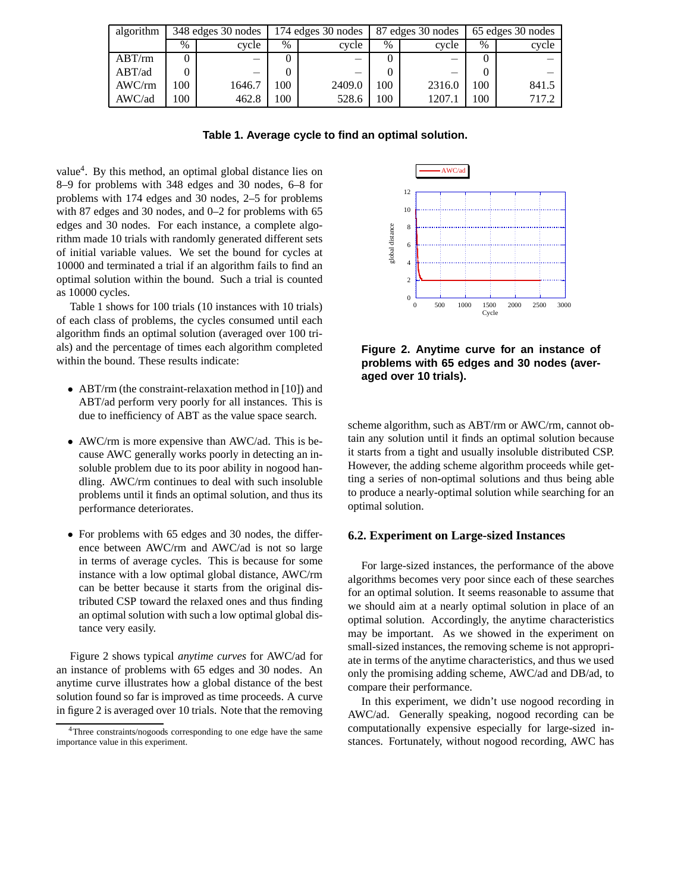| algorithm | 348 edges 30 nodes |        | 174 edges 30 nodes |        | 87 edges 30 nodes |        | 65 edges 30 nodes |       |
|-----------|--------------------|--------|--------------------|--------|-------------------|--------|-------------------|-------|
|           | $\%$               | cycle  | $\%$               | cycle  | $\%$              | cycle  | %                 | cycle |
| $ABT$ /rm |                    |        |                    |        |                   |        |                   |       |
| ABT/ad    |                    |        |                    |        |                   |        |                   |       |
| AWC/m     | 00 <sup>1</sup>    | 1646.7 | 100                | 2409.0 | .00               | 2316.0 | 100               | 841.5 |
| AWC/ad    | 100                | 462.8  | 100                | 528.6  | 100               | 1207.  | 00                | 717.2 |

**Table 1. Average cycle to find an optimal solution.**

value4. By this method, an optimal global distance lies on 8–9 for problems with 348 edges and 30 nodes, 6–8 for problems with 174 edges and 30 nodes, 2–5 for problems with 87 edges and 30 nodes, and 0–2 for problems with 65 edges and 30 nodes. For each instance, a complete algorithm made 10 trials with randomly generated different sets of initial variable values. We set the bound for cycles at 10000 and terminated a trial if an algorithm fails to find an optimal solution within the bound. Such a trial is counted as 10000 cycles.

Table 1 shows for 100 trials (10 instances with 10 trials) of each class of problems, the cycles consumed until each algorithm finds an optimal solution (averaged over 100 trials) and the percentage of times each algorithm completed within the bound. These results indicate:

- ABT/rm (the constraint-relaxation method in [10]) and ABT/ad perform very poorly for all instances. This is due to inefficiency of ABT as the value space search.
- AWC/rm is more expensive than AWC/ad. This is because AWC generally works poorly in detecting an insoluble problem due to its poor ability in nogood handling. AWC/rm continues to deal with such insoluble problems until it finds an optimal solution, and thus its performance deteriorates.
- For problems with 65 edges and 30 nodes, the difference between AWC/rm and AWC/ad is not so large in terms of average cycles. This is because for some instance with a low optimal global distance, AWC/rm can be better because it starts from the original distributed CSP toward the relaxed ones and thus finding an optimal solution with such a low optimal global distance very easily.

Figure 2 shows typical *anytime curves* for AWC/ad for an instance of problems with 65 edges and 30 nodes. An anytime curve illustrates how a global distance of the best solution found so far is improved as time proceeds. A curve in figure 2 is averaged over 10 trials. Note that the removing



**Figure 2. Anytime curve for an instance of problems with 65 edges and 30 nodes (averaged over 10 trials).**

scheme algorithm, such as ABT/rm or AWC/rm, cannot obtain any solution until it finds an optimal solution because it starts from a tight and usually insoluble distributed CSP. However, the adding scheme algorithm proceeds while getting a series of non-optimal solutions and thus being able to produce a nearly-optimal solution while searching for an optimal solution.

#### **6.2. Experiment on Large-sized Instances**

For large-sized instances, the performance of the above algorithms becomes very poor since each of these searches for an optimal solution. It seems reasonable to assume that we should aim at a nearly optimal solution in place of an optimal solution. Accordingly, the anytime characteristics may be important. As we showed in the experiment on small-sized instances, the removing scheme is not appropriate in terms of the anytime characteristics, and thus we used only the promising adding scheme, AWC/ad and DB/ad, to compare their performance.

In this experiment, we didn't use nogood recording in AWC/ad. Generally speaking, nogood recording can be computationally expensive especially for large-sized instances. Fortunately, without nogood recording, AWC has

<sup>&</sup>lt;sup>4</sup>Three constraints/nogoods corresponding to one edge have the same importance value in this experiment.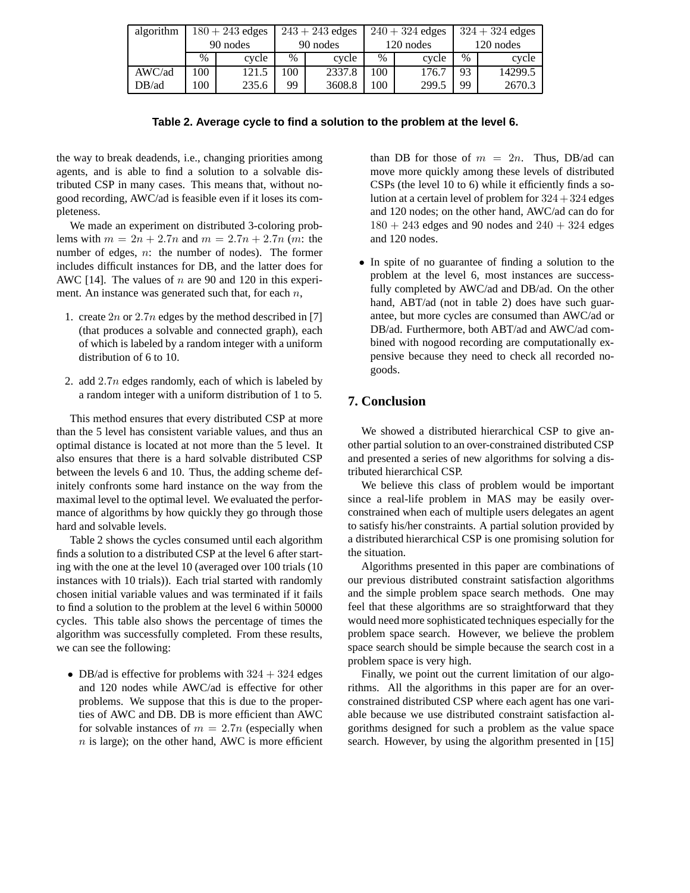| algorithm | $180 + 243$ edges |       | $243 + 243$ edges |        | $240 + 324$ edges |       | $324 + 324$ edges |         |
|-----------|-------------------|-------|-------------------|--------|-------------------|-------|-------------------|---------|
|           | 90 nodes          |       | 90 nodes          |        | 120 nodes         |       | 120 nodes         |         |
|           | $\%$              | cycle | $\frac{0}{0}$     | cycle  | $\%$              | cycle | $\frac{0}{0}$     | cycle   |
| AWC/ad    | 100               | 121.5 | 00 <sup>1</sup>   | 2337.8 | 100               | 176.7 | 93                | 14299.5 |
| $DB$ /ad  | .00               | 235.6 | 99                | 3608.8 | 100               | 299.5 | 99                | 2670.3  |

| Table 2. Average cycle to find a solution to the problem at the level 6. |  |  |  |  |
|--------------------------------------------------------------------------|--|--|--|--|
|--------------------------------------------------------------------------|--|--|--|--|

the way to break deadends, i.e., changing priorities among agents, and is able to find a solution to a solvable distributed CSP in many cases. This means that, without nogood recording, AWC/ad is feasible even if it loses its completeness.

We made an experiment on distributed 3-coloring problems with  $m = 2n + 2.7n$  and  $m = 2.7n + 2.7n$  (m: the number of edges,  $n$ : the number of nodes). The former includes difficult instances for DB, and the latter does for AWC [14]. The values of  $n$  are 90 and 120 in this experiment. An instance was generated such that, for each  $n$ ,

- 1. create  $2n$  or  $2.7n$  edges by the method described in [7] (that produces a solvable and connected graph), each of which is labeled by a random integer with a uniform distribution of 6 to 10.
- 2. add  $2.7n$  edges randomly, each of which is labeled by a random integer with a uniform distribution of 1 to 5.

This method ensures that every distributed CSP at more than the 5 level has consistent variable values, and thus an optimal distance is located at not more than the 5 level. It also ensures that there is a hard solvable distributed CSP between the levels 6 and 10. Thus, the adding scheme definitely confronts some hard instance on the way from the maximal level to the optimal level. We evaluated the performance of algorithms by how quickly they go through those hard and solvable levels.

Table 2 shows the cycles consumed until each algorithm finds a solution to a distributed CSP at the level 6 after starting with the one at the level 10 (averaged over 100 trials (10 instances with 10 trials)). Each trial started with randomly chosen initial variable values and was terminated if it fails to find a solution to the problem at the level 6 within 50000 cycles. This table also shows the percentage of times the algorithm was successfully completed. From these results, we can see the following:

• DB/ad is effective for problems with  $324 + 324$  edges and 120 nodes while AWC/ad is effective for other problems. We suppose that this is due to the properties of AWC and DB. DB is more efficient than AWC for solvable instances of  $m = 2.7n$  (especially when  $n$  is large); on the other hand, AWC is more efficient

than DB for those of  $m = 2n$ . Thus, DB/ad can move more quickly among these levels of distributed CSPs (the level 10 to 6) while it efficiently finds a solution at a certain level of problem for  $324 + 324$  edges and 120 nodes; on the other hand, AWC/ad can do for  $180 + 243$  edges and 90 nodes and  $240 + 324$  edges and 120 nodes.

• In spite of no guarantee of finding a solution to the problem at the level 6, most instances are successfully completed by AWC/ad and DB/ad. On the other hand, ABT/ad (not in table 2) does have such guarantee, but more cycles are consumed than AWC/ad or DB/ad. Furthermore, both ABT/ad and AWC/ad combined with nogood recording are computationally expensive because they need to check all recorded nogoods.

# **7. Conclusion**

We showed a distributed hierarchical CSP to give another partial solution to an over-constrained distributed CSP and presented a series of new algorithms for solving a distributed hierarchical CSP.

We believe this class of problem would be important since a real-life problem in MAS may be easily overconstrained when each of multiple users delegates an agent to satisfy his/her constraints. A partial solution provided by a distributed hierarchical CSP is one promising solution for the situation.

Algorithms presented in this paper are combinations of our previous distributed constraint satisfaction algorithms and the simple problem space search methods. One may feel that these algorithms are so straightforward that they would need more sophisticated techniques especially for the problem space search. However, we believe the problem space search should be simple because the search cost in a problem space is very high.

Finally, we point out the current limitation of our algorithms. All the algorithms in this paper are for an overconstrained distributed CSP where each agent has one variable because we use distributed constraint satisfaction algorithms designed for such a problem as the value space search. However, by using the algorithm presented in [15]